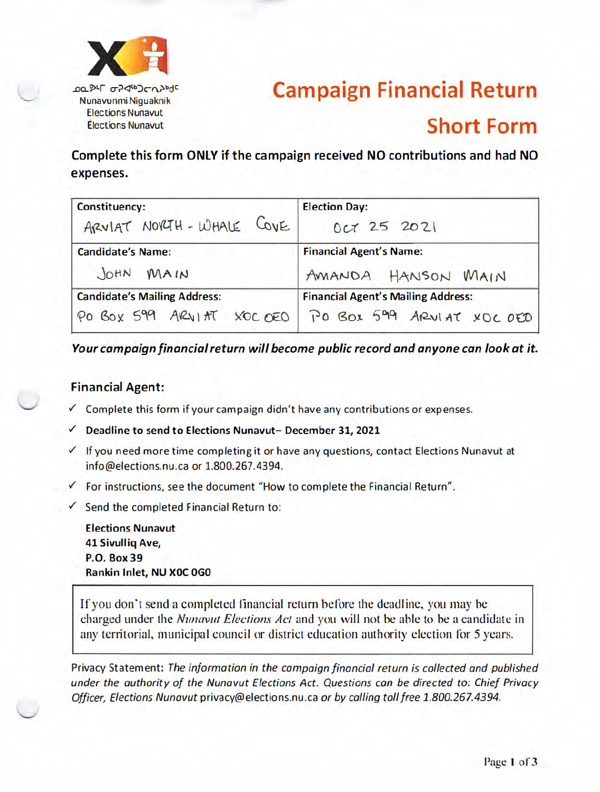

TO BIL QS 40 JCV you Nunavunmi Niquaknik **Elections Nunavut** Élections Nunavut

# **Campaign Financial Return Short Form**

Complete this form ONLY if the campaign received NO contributions and had NO expenses.

| <b>Constituency:</b>                | <b>Election Day:</b>                                                                           |  |  |
|-------------------------------------|------------------------------------------------------------------------------------------------|--|--|
| ARVIAT NORTH-WHALE COVE             | Oct 25 2021                                                                                    |  |  |
| <b>Candidate's Name:</b>            | <b>Financial Agent's Name:</b>                                                                 |  |  |
| JOHN MAIN                           | AMANDA HANSON MAIN                                                                             |  |  |
| <b>Candidate's Mailing Address:</b> | <b>Financial Agent's Mailing Address:</b><br>PO BOX 599 ARVIAT XOCOED PO BOX 599 ARVIAT XOCOED |  |  |

Your campaign financial return will become public record and anyone can look at it.

#### **Financial Agent:**

- ✓ Complete this form if your campaign didn't have any contributions or expenses.
- Deadline to send to Elections Nunavut- December 31, 2021  $\checkmark$
- √ If you need more time completing it or have any questions, contact Elections Nunavut at info@elections.nu.ca or 1.800.267.4394.
- $\checkmark$  For instructions, see the document "How to complete the Financial Return".
- $\checkmark$  Send the completed Financial Return to:

**Elections Nunavut 41 Sivullig Ave, P.O. Box 39** Rankin Inlet, NU XOC 0G0

If you don't send a completed financial return before the deadline, you may be charged under the *Nunavut Elections Act* and you will not be able to be a candidate in any territorial, municipal council or district education authority election for 5 years.

Privacy Statement: The information in the campaign financial return is collected and published under the authority of the Nunavut Elections Act. Questions can be directed to: Chief Privacy Officer, Elections Nunavut privacy@elections.nu.ca or by calling toll free 1.800.267.4394.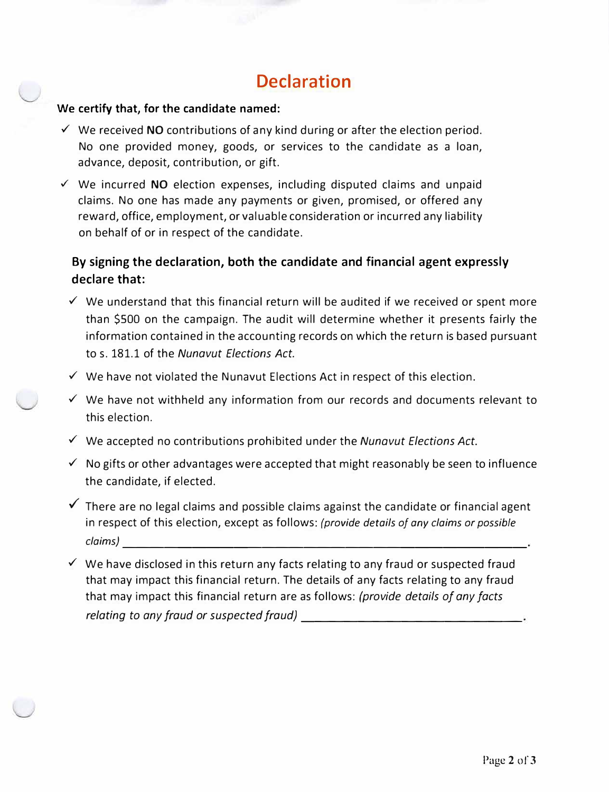# **Declaration**

#### **We certify that, for the candidate named:**

- ✓ We received **NO** contributions of any kind during or after the election period. No one provided money, goods, or services to the candidate as a loan, advance, deposit, contribution, or gift.
- ✓ We incurred **NO** election expenses, including disputed claims and unpaid claims. No one has made any payments or given, promised, or offered any reward, office, employment, or valuable consideration or incurred any liability on behalf of or in respect of the candidate.

# **By signing the declaration, both the candidate and financial agent expressly declare that:**

- $\checkmark$  We understand that this financial return will be audited if we received or spent more than \$500 on the campaign. The audit will determine whether it presents fairly the information contained in the accounting records on which the return is based pursuant to s. 181.1 of the *Nunavut Elections Act.*
- $\checkmark$  We have not violated the Nunavut Elections Act in respect of this election.
- ✓ We have not withheld any information from our records and documents relevant to this election.
- ✓ We accepted no contributions prohibited under the *Nunavut Elections Act.*
- $\checkmark$  No gifts or other advantages were accepted that might reasonably be seen to influence the candidate, if elected.
- $\checkmark$  There are no legal claims and possible claims against the candidate or financial agent in respect of this election, except as follows: *(provide details of any claims or possible claims)*-----------------------------
- $\checkmark$  We have disclosed in this return any facts relating to any fraud or suspected fraud that may impact this financial return. The details of any facts relating to any fraud that may impact this financial return are as follows: *(provide details of any facts relating to any fraud or suspected fraud) \_\_\_\_\_\_\_\_\_\_\_\_\_\_ \_*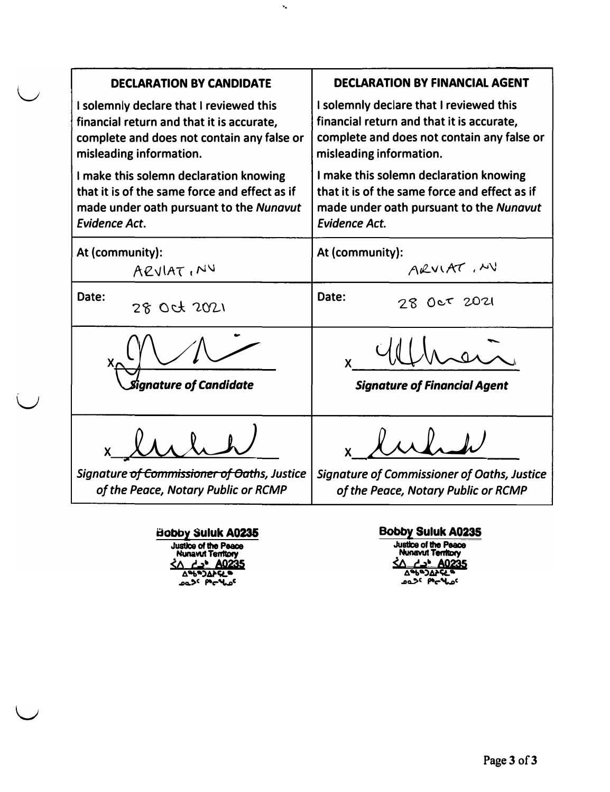| <b>DECLARATION BY CANDIDATE</b>               | <b>DECLARATION BY FINANCIAL AGENT</b>              |  |  |
|-----------------------------------------------|----------------------------------------------------|--|--|
| I solemnly declare that I reviewed this       | I solemnly declare that I reviewed this            |  |  |
| financial return and that it is accurate,     | financial return and that it is accurate,          |  |  |
| complete and does not contain any false or    | complete and does not contain any false or         |  |  |
| misleading information.                       | misleading information.                            |  |  |
| I make this solemn declaration knowing        | I make this solemn declaration knowing             |  |  |
| that it is of the same force and effect as if | that it is of the same force and effect as if      |  |  |
| made under oath pursuant to the Nunavut       | made under oath pursuant to the Nunavut            |  |  |
| <b>Evidence Act.</b>                          | <b>Evidence Act.</b>                               |  |  |
| At (community):                               | At (community):                                    |  |  |
| ARVIAT, NY                                    | ARVIAT, MV                                         |  |  |
| Date:                                         | Date:                                              |  |  |
| 28 Oct 2021                                   | 28 Oct 2021                                        |  |  |
| <i><b>Signature of Candidate</b></i>          | <b>Signature of Financial Agent</b>                |  |  |
| Signature of Commissioner of Oaths, Justice   | <b>Signature of Commissioner of Oaths, Justice</b> |  |  |
| of the Peace, Notary Public or RCMP           | of the Peace, Notary Public or RCMP                |  |  |

 $\bar{\mathbf{v}}_a$ 

**Bobby Suluk A0235 Justice of the Peace**<br> **Nunavut Territory**<br> **SA <del>L</del> → <b>A0235**<br>  $\triangle$  ��")ΔPSL®

**.o�>C �c-'w»C** 

u

**Bobby Suluk A0235 Justice of the Nunavut Peace Munavut Territory**<br>
<u><A *r'***</u>→ <b>***A0235***<br>
<u>A</u>%DAPSE®<br>
2950DAPSE®</u>**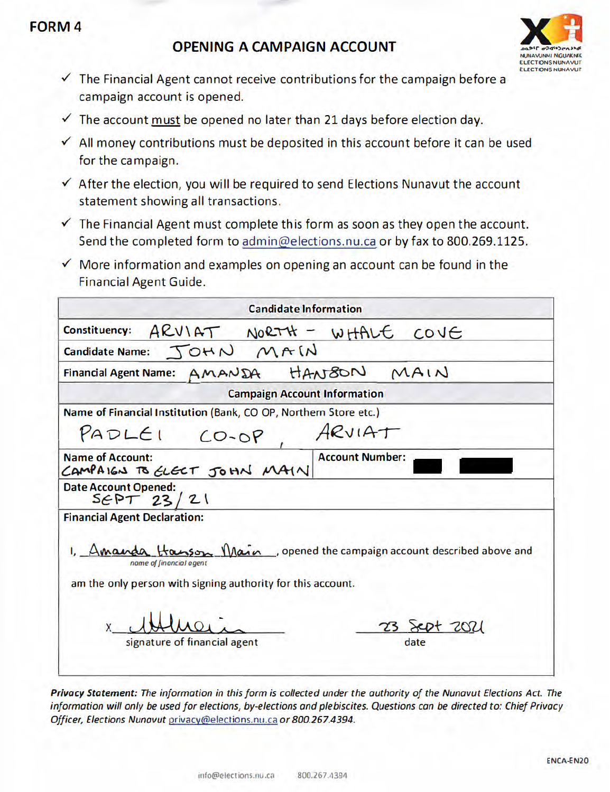# **FORM4**

# **OPENING A CAMPAIGN ACCOUNT**



- $\checkmark$  The Financial Agent cannot receive contributions for the campaign before a campaign account is opened.
- $\checkmark$  The account must be opened no later than 21 days before election day.
- $\checkmark$  All money contributions must be deposited in this account before it can be used for the campaign.
- √ After the election, you will be required to send Elections Nunavut the account statement showing all transactions.
- $\checkmark$  The Financial Agent must complete this form as soon as they open the account. Send the completed form to admin@elections.nu.ca or by fax to 800.269.1125.
- $\checkmark$  More information and examples on opening an account can be found in the **Financial Agent Guide.**

| <b>Candidate Information</b>                                                                                                                                     |                        |
|------------------------------------------------------------------------------------------------------------------------------------------------------------------|------------------------|
| Constituency: ARVIAT NORTH - WHALE COVE                                                                                                                          |                        |
| Candidate Name: JOHN MAIN                                                                                                                                        |                        |
| Financial Agent Name: AMANDA HANBON MAIN                                                                                                                         |                        |
| <b>Campaign Account Information</b>                                                                                                                              |                        |
| Name of Financial Institution (Bank, CO OP, Northern Store etc.)                                                                                                 |                        |
| $PADLEI CO-OP$                                                                                                                                                   | ARVIAT                 |
| <b>Name of Account:</b><br>CAMPAIGN TO ELECT JOHN MAIN                                                                                                           | <b>Account Number:</b> |
| <b>Date Account Opened:</b><br>SEPT 23/21                                                                                                                        |                        |
| <b>Financial Agent Declaration:</b>                                                                                                                              |                        |
| 1, Amanda Hasson Main, opened the campaign account described above and<br>nome of financial agent<br>am the only person with signing authority for this account. |                        |
|                                                                                                                                                                  | 23 Jept 2021           |

Privacy Statement: The information in this form is collected under the authority of the Nunavut Elections Act. The information will only be used for elections, by-elections and plebiscites. Questions can be directed to: Chief Privacy Officer, Elections Nunavut privacy@elections.nu.ca or 800.267.4394.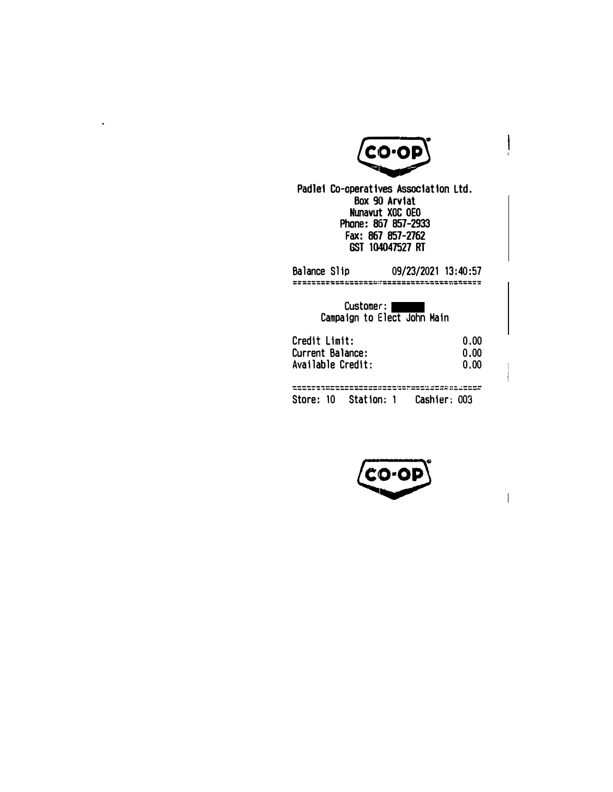

 $\ddot{\phantom{0}}$ 

Padlei Co-aperatives Association Ltd. Box 90 Arviat Nunavut XOC OEO Phone: 867 **857-2933**  Fax: 867 857-2762 GST 104047527 RT

| Balance Slip                                           | 09/23/2021 13:40:57                      |                      |
|--------------------------------------------------------|------------------------------------------|----------------------|
|                                                        | Customer:<br>Campaign to Elect John Main |                      |
| Credit Limit:<br>Current Balance:<br>Available Credit: |                                          | 0.00<br>0.00<br>0.00 |
| Store: 10 Station: 1 Cashier: 003                      |                                          |                      |



 $\overline{\phantom{a}}$